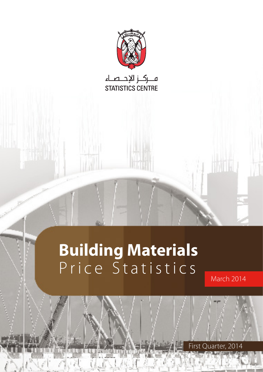

# **Building Materials** Price Statistics

1 Statistics Price **Materials Building**

March 2014

First Quarter, 2014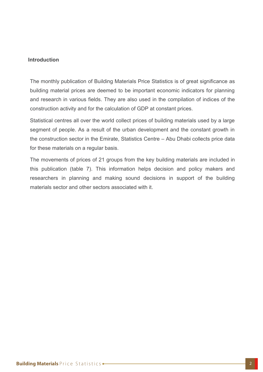#### **Introduction**

The monthly publication of Building Materials Price Statistics is of great significance as building material prices are deemed to be important economic indicators for planning and research in various fields. They are also used in the compilation of indices of the construction activity and for the calculation of GDP at constant prices.

Statistical centres all over the world collect prices of building materials used by a large segment of people. As a result of the urban development and the constant growth in the construction sector in the Emirate, Statistics Centre  $-$  Abu Dhabi collects price data for these materials on a regular basis.

The movements of prices of 21 groups from the key building materials are included in this publication (table 7). This information helps decision and policy makers and researchers in planning and making sound decisions in support of the building materials sector and other sectors associated with it.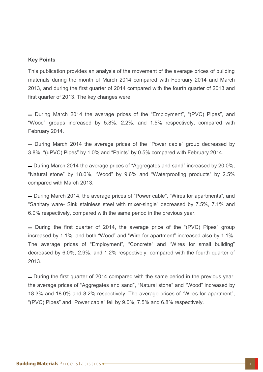#### **Key Points**

This publication provides an analysis of the movement of the average prices of building materials during the month of March 2014 compared with February 2014 and March 2013, and during the first quarter of 2014 compared with the fourth quarter of 2013 and first quarter of 2013. The key changes were:

- During March 2014 the average prices of the "Employment", "(PVC) Pipes", and "Wood" groups increased by 5.8%, 2.2%, and 1.5% respectively, compared with February 2014.

- During March 2014 the average prices of the "Power cable" group decreased by 3.8%. "(uPVC) Pipes" by 1.0% and "Paints" by 0.5% compared with February 2014.

■ During March 2014 the average prices of "Aggregates and sand" increased by 20.0%, "Natural stone" by 18.0%, "Wood" by 9.6% and "Waterproofing products" by 2.5% compared with March 2013.

- During March 2014, the average prices of "Power cable", "Wires for apartments", and "Sanitary ware- Sink stainless steel with mixer-single" decreased by 7.5%, 7.1% and 6.0% respectively, compared with the same period in the previous year.

- During the first quarter of 2014, the average price of the "(PVC) Pipes" group increased by 1.1%, and both "Wood" and "Wire for apartment" increased also by 1.1%. The average prices of "Employment", "Concrete" and "Wires for small building" decreased by 6.0%, 2.9%, and 1.2% respectively, compared with the fourth quarter of 2013.

— During the first quarter of 2014 compared with the same period in the previous year, the average prices of "Aggregates and sand", "Natural stone" and "Wood" increased by 18.3% and 18.0% and 8.2% respectively. The average prices of "Wires for apartment", "(PVC) Pipes" and "Power cable" fell by  $9.0\%$ ,  $7.5\%$  and  $6.8\%$  respectively.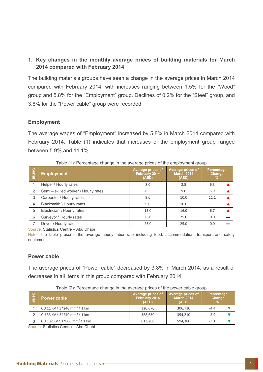# **1. Key changes in the monthly average prices of building materials for March 2014 compared with February 2014**

The building materials groups have seen a change in the average prices in March 2014 compared with February 2014, with increases ranging between 1.5% for the "Wood" group and 5.8% for the "Employment" group. Declines of 0.2% for the "Steel" group, and 3.8% for the "Power cable" group were recorded.

# **Employment**

The average wages of "Employment" increased by 5.8% in March 2014 compared with February 2014. Table (1) indicates that increases of the employment group ranged between 5.9% and 11.1%.

| Serial | <b>Employment</b>                    | Average prices of<br>February 2014<br>(AED) | Average prices of<br><b>March 2014</b><br>(AED) | Percentage<br>Change<br>$\%$ |  |
|--------|--------------------------------------|---------------------------------------------|-------------------------------------------------|------------------------------|--|
|        | Helper \ Hourly rates                | 8.0                                         | 8.5                                             | 6.3                          |  |
| 2      | Semi - skilled worker \ Hourly rates | 8.5                                         | 9.0                                             | 5.9                          |  |
| 3      | Carpenter \ Hourly rates             | 9.0                                         | 10.0                                            | 11.1                         |  |
| 4      | Blacksmith \ Hourly rates            | 9.0                                         | 10.0                                            | 11.1                         |  |
| 5      | Electrician \ Hourly rates           | 15.0                                        | 16.0                                            | 6.7                          |  |
| 6      | Surveyor \ Hourly rates              | 25.0                                        | 25.0                                            | 0.0                          |  |
| 7      | Driver \ Hourly rates                | 25.0                                        | 25.0                                            | 0.0                          |  |

Table (1): Percentage change in the average prices of the employment group

Source: Statistics Centre - Abu Dhabi

Note: The table presents the average hourly labor rate including food, accommodation, transport and safety .equipment

#### **Power** cable

The average prices of "Power cable" decreased by 3.8% in March 2014, as a result of decreases in all items in this group compared with February 2014.

| <b>Seri</b><br>உ | Power cable                                | Average prices of<br>February 2014<br>(AED) | Average prices of<br><b>March 2014</b><br>(AED) | Percentage<br>Change<br>v OZN |  |
|------------------|--------------------------------------------|---------------------------------------------|-------------------------------------------------|-------------------------------|--|
|                  | CU 11 KV \ $3*240$ mm <sup>2</sup> \ 1 km  | 320.670                                     | 306,710                                         | $-4.4$                        |  |
|                  | CU 33 KV \ $3*240$ mm <sup>2</sup> \ 1 km  | 368,650                                     | 354.210                                         | $-3.9$                        |  |
| 3                | CU 132 KV \ $1*800$ mm <sup>2</sup> \ 1 km | 613,280                                     | 594,380                                         | $-3.1$                        |  |

Table (2): Percentage change in the average prices of the power cable group

Source: Statistics Centre – Abu Dhabi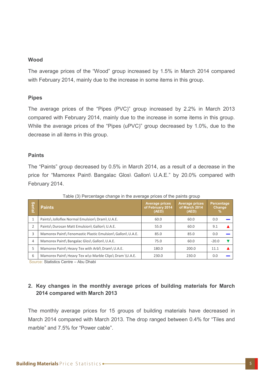#### **Wood**

The average prices of the "Wood" group increased by 1.5% in March 2014 compared with February 2014, mainly due to the increase in some items in this group.

# **Pipes**

The average prices of the "Pipes (PVC)" group increased by 2.2% in March 2013 compared with February 2014, mainly due to the increase in some items in this group. While the average prices of the "Pipes (uPVC)" group decreased by 1.0%, due to the decrease in all items in this group.

# **Paints**

The "Paints" group decreased by 0.5% in March 2014, as a result of a decrease in the price for "Mamorex Paint\ Bangalac Glos\ Gallon\ U.A.E." by 20.0% compared with February 2014.

| Serial         | <b>Paints</b>                                              | <b>Average prices</b><br>of February 2014<br>(AED) | <b>Average prices</b><br>of March 2014<br>(AED) | <b>Percentage</b><br><b>Change</b><br>% |
|----------------|------------------------------------------------------------|----------------------------------------------------|-------------------------------------------------|-----------------------------------------|
| 1              | Paints\ Jolloflex Normal Emulsion\ Dram\ U.A.E.            | 60.0                                               | 60.0                                            | 0.0                                     |
| $\overline{2}$ | Paints\ Durosan Matt Emulsion\ Gallon\ U.A.E.              | 55.0                                               | 60.0                                            | 9.1                                     |
| 3              | Mamorex Paint\ Fenomastic Plastic Emulsion\ Gallon\ U.A.E. | 85.0                                               | 85.0                                            | 0.0                                     |
| 4              | Mamorex Paint\ Bangalac Glos\ Gallon\ U.A.E.               | 75.0                                               | 60.0                                            | $-20.0$                                 |
| 5              | Mamorex Paint\ Heavy Tex with Arbl\ Dram\ U.A.E.           | 180.0                                              | 200.0                                           | 11.1                                    |
| 6              | Mamorex Paint\ Heavy Tex w\o Marble Clips\ Dram \U.A.E.    | 230.0                                              | 230.0                                           | 0.0                                     |

Table (3) Percentage change in the average prices of the paints group

Source: Statistics Centre – Abu Dhabi

# **2. Key changes in the monthly average prices of building materials for March 2014 compared with March 2013**

The monthly average prices for 15 groups of building materials have decreased in March 2014 compared with March 2013. The drop ranged between 0.4% for "Tiles and marble" and 7.5% for "Power cable".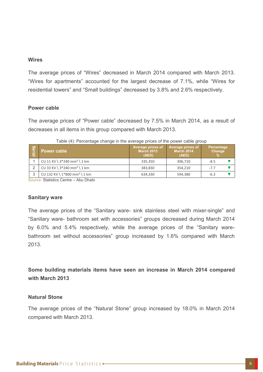#### **Wires**

The average prices of "Wires" decreased in March 2014 compared with March 2013. "Wires for apartments" accounted for the largest decrease of 7.1%, while "Wires for residential towers" and "Small buildings" decreased by 3.8% and 2.6% respectively.

#### **Power** cable

The average prices of "Power cable" decreased by 7.5% in March 2014, as a result of decreases in all items in this group compared with March 2013.

| <b>Seri</b><br>உ | Power cable                                | Average prices of<br><b>March 2013</b><br>(AED) | Average prices of<br><b>March 2014</b><br>(AED) | Percentage<br>Change<br>$\mathbf{0}$ |  |
|------------------|--------------------------------------------|-------------------------------------------------|-------------------------------------------------|--------------------------------------|--|
|                  | CU 11 KV \ $3*240$ mm <sup>2</sup> \ 1 km  | 335,350                                         | 306,710                                         | $-8.5$                               |  |
|                  | CU 33 KV \ $3*240$ mm <sup>2</sup> \ 1 km  | 383,830                                         | 354.210                                         | $-7.7$                               |  |
| 3                | CU 132 KV \ $1*800$ mm <sup>2</sup> \ 1 km | 634,330                                         | 594,380                                         | $-6.3$                               |  |

|  | Table (4): Percentage change in the average prices of the power cable group |  |  |  |  |
|--|-----------------------------------------------------------------------------|--|--|--|--|
|  |                                                                             |  |  |  |  |

Source: Statistics Centre – Abu Dhabi

#### **Sanitary** ware

The average prices of the "Sanitary ware- sink stainless steel with mixer-single" and "Sanitary ware- bathroom set with accessories" groups decreased during March 2014 bathroom set without accessories" group increased by 1.6% compared with March by 6.0% and 5.4% respectively, while the average prices of the "Sanitary ware-2013.

**Some building materials items have seen an increase in March 2014 compared 2013 March with**

#### **Natural Stone**

The average prices of the "Natural Stone" group increased by 18.0% in March 2014 compared with March 2013.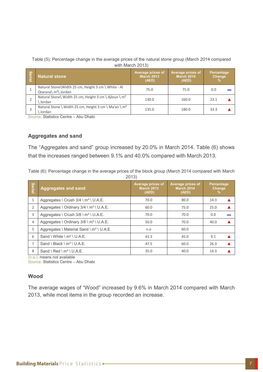| Table (5): Percentage change in the average prices of the natural stone group (March 2014 compared |
|----------------------------------------------------------------------------------------------------|
| with March 2013)                                                                                   |

| <b>Serial</b> | <b>Natural stone</b>                                                          | Average prices of<br><b>March 2013</b><br>(AED) | Average prices of<br><b>March 2014</b><br>(AED) | Percentage<br><b>Change</b><br>% |
|---------------|-------------------------------------------------------------------------------|-------------------------------------------------|-------------------------------------------------|----------------------------------|
|               | Natural Stone\Width 25 cm, Height 3 cm \ White - Al<br>Qtarana\ $m^2$ \Jordan | 75.0                                            | 75.0                                            | 0.0                              |
|               | Natural Stone\ Width 25 cm, Height 3 cm \ Ajloun \ m <sup>2</sup><br>Jordan   | 130.0                                           | 160.0                                           | 23.1                             |
|               | Natural Stone \ Width 25 cm, Height 3 cm \ Ma'an \ m <sup>2</sup><br>Jordan   | 135.0                                           | 180.0                                           | 33.3                             |

Source: Statistics Centre – Abu Dhabi

#### **Aggregates and sand**

The "Aggregates and sand" group increased by 20.0% in March 2014. Table (6) shows that the increases ranged between 9.1% and 40.0% compared with March 2013.

Table (6): Percentage change in the average prices of the block group (March 2014 compared with March (2013

| Serial         | <b>Aggregates and sand</b>                          | Average prices of<br><b>March 2013</b><br>(AED) | <b>Average prices of</b><br><b>March 2014</b><br>(AED) | <b>Percentage</b><br>Change<br>% |  |
|----------------|-----------------------------------------------------|-------------------------------------------------|--------------------------------------------------------|----------------------------------|--|
| $\mathbf{1}$   | Aggregates \ Crush $3/4 \leq m^3 \leq U.A.E$ .      | 70.0                                            | 80.0                                                   | 14.3                             |  |
| $\overline{2}$ | Aggregates \ Ordinary $3/4 \leq m^3 \leq U.A.E$ .   | 60.0                                            | 75.0                                                   | 25.0                             |  |
| 3              | Aggregates \ Crush 3/8 \ m <sup>3</sup> \ U.A.E.    | 70.0                                            | 70.0                                                   | 0.0                              |  |
| 4              | Aggregates \ Ordinary 3/8 \ m <sup>3</sup> \ U.A.E. | 50.0                                            | 70.0                                                   | 40.0                             |  |
| 5              | Aggregates \ Material Sand \ $m^3$ \ U.A.E.         | n.a                                             | 60.0                                                   |                                  |  |
| 6              | Sand \ White \ m <sup>3</sup> \ U.A.E.              | 41.3                                            | 45.0                                                   | 9.1                              |  |
| 7              | Sand \ Black \ $m^3$ \ U.A.E.                       | 47.5                                            | 60.0                                                   | 26.3                             |  |
| 8              | Sand \ Red \ $m^3$ \ U.A.E.                         | 35.0                                            | 40.0                                                   | 14.3                             |  |

 $(n.a.)$ : means not available

Source: Statistics Centre – Abu Dhabi

#### **Wood**

The average wages of "Wood" increased by 9.6% in March 2014 compared with March 2013, while most items in the group recorded an increase.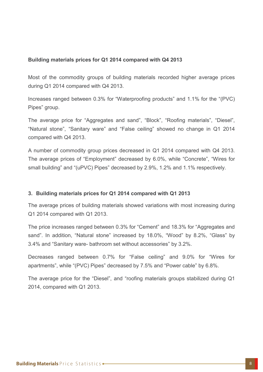# **2013** Building materials prices for Q1 2014 compared with Q4 2013

Most of the commodity groups of building materials recorded higher average prices during  $Q1$  2014 compared with  $Q4$  2013.

Increases ranged between 0.3% for "Waterproofing products" and 1.1% for the "(PVC) Pipes" group.

The average price for "Aggregates and sand", "Block", "Roofing materials", "Diesel", "Natural stone", "Sanitary ware" and "False ceiling" showed no change in Q1 2014 compared with Q4 2013.

A number of commodity group prices decreased in Q1 2014 compared with Q4 2013. The average prices of "Employment" decreased by 6.0%, while "Concrete", "Wires for small building" and "(uPVC) Pipes" decreased by 2.9%, 1.2% and 1.1% respectively.

# **2013 2013 2014 2014 2014 2016 2013 2013 2013 3.**

The average prices of building materials showed variations with most increasing during  $Q1$  2014 compared with  $Q1$  2013.

The price increases ranged between 0.3% for "Cement" and 18.3% for "Aggregates and sand". In addition, "Natural stone" increased by 18.0%, "Wood" by 8.2%, "Glass" by 3.4% and "Sanitary ware- bathroom set without accessories" by 3.2%.

Decreases ranged between 0.7% for "False ceiling" and 9.0% for "Wires for apartments", while "(PVC) Pipes" decreased by 7.5% and "Power cable" by 6.8%.

The average price for the "Diesel", and "roofing materials groups stabilized during Q1  $2014$ , compared with Q1 2013.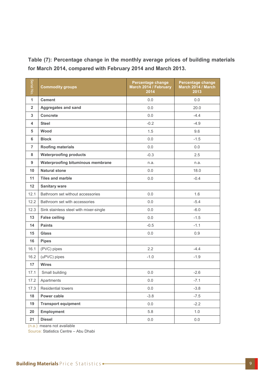Table (7): Percentage change in the monthly average prices of building materials for March 2014, compared with February 2014 and March 2013.

| Serial No.     | <b>Commodity groups</b>                  | <b>Percentage change</b><br>March 2014 / February<br>2014 | Percentage change<br>March 2014 / March<br>2013 |
|----------------|------------------------------------------|-----------------------------------------------------------|-------------------------------------------------|
| $\mathbf{1}$   | <b>Cement</b>                            | 0.0                                                       | 0.0                                             |
| $\overline{2}$ | <b>Aggregates and sand</b>               | 0.0                                                       | 20.0                                            |
| 3              | <b>Concrete</b>                          | 0.0                                                       | $-4.4$                                          |
| 4              | <b>Steel</b>                             | $-0.2$                                                    | $-4.9$                                          |
| 5              | Wood                                     | 1.5                                                       | 9.6                                             |
| 6              | <b>Block</b>                             | 0.0                                                       | $-1.5$                                          |
| $\overline{7}$ | <b>Roofing materials</b>                 | 0.0                                                       | 0.0                                             |
| 8              | <b>Waterproofing products</b>            | $-0.3$                                                    | 2.5                                             |
| 9              | <b>Waterproofing bituminous membrane</b> | n.a.                                                      | n.a.                                            |
| 10             | <b>Natural stone</b>                     | 0.0                                                       | 18.0                                            |
| 11             | Tiles and marble                         | 0.0                                                       | $-0.4$                                          |
| 12             | <b>Sanitary ware</b>                     |                                                           |                                                 |
| 12.1           | Bathroom set without accessories         | 0.0                                                       | 1.6                                             |
| 12.2           | Bathroom set with accessories            | 0.0                                                       | $-5.4$                                          |
| 12.3           | Sink stainless steel with mixer-single   | 0.0                                                       | $-6.0$                                          |
| 13             | <b>False ceiling</b>                     | 0.0                                                       | $-1.5$                                          |
| 14             | <b>Paints</b>                            | $-0.5$                                                    | $-1.1$                                          |
| 15             | <b>Glass</b>                             | 0.0                                                       | 0.9                                             |
| 16             | <b>Pipes</b>                             |                                                           |                                                 |
| 16.1           | (PVC) pipes                              | 2.2                                                       | $-4.4$                                          |
| 16.2           | (uPVC) pipes                             | $-1.0$                                                    | $-1.9$                                          |
| 17             | <b>Wires</b>                             |                                                           |                                                 |
| 17.1           | Small building                           | 0.0                                                       | $-2.6$                                          |
| 17.2           | Apartments                               | 0.0                                                       | $-7.1$                                          |
| 17.3           | Residential towers                       | 0.0                                                       | $-3.8$                                          |
| 18             | Power cable                              | $-3.8$                                                    | $-7.5$                                          |
| 19             | <b>Transport equipment</b>               | 0.0                                                       | $-2.2$                                          |
| 20             | <b>Employment</b>                        | 5.8                                                       | 1.0                                             |
| 21             | <b>Diesel</b>                            | $0.0\,$                                                   | 0.0                                             |

 $(n.a.)$ : means not available

Source: Statistics Centre - Abu Dhabi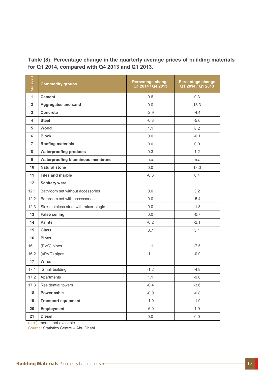Table (8): Percentage change in the quarterly average prices of building materials for Q1 2014, compared with Q4 2013 and Q1 2013.

| Serial No.     | <b>Commodity groups</b>                | <b>Percentage change</b><br>Q1 2014 / Q4 2013 | <b>Percentage change</b><br>Q1 2014 / Q1 2013 |
|----------------|----------------------------------------|-----------------------------------------------|-----------------------------------------------|
| $\mathbf{1}$   | <b>Cement</b>                          | 0.6                                           | 0.3                                           |
| $\overline{2}$ | <b>Aggregates and sand</b>             | 0.0                                           | 18.3                                          |
| 3              | Concrete                               | $-2.9$                                        | $-4.4$                                        |
| 4              | <b>Steel</b>                           | $-0.3$                                        | $-5.6$                                        |
| 5              | Wood                                   | 1.1                                           | 8.2                                           |
| 6              | <b>Block</b>                           | 0.0                                           | $-6.1$                                        |
| $\overline{7}$ | <b>Roofing materials</b>               | 0.0                                           | 0.0                                           |
| 8              | <b>Waterproofing products</b>          | 0.3                                           | 1.2                                           |
| 9              | Waterproofing bituminous membrane      | n.a.                                          | n.a                                           |
| 10             | <b>Natural stone</b>                   | 0.0                                           | 18.0                                          |
| 11             | <b>Tiles and marble</b>                | $-0.6$                                        | 0.4                                           |
| 12             | <b>Sanitary ware</b>                   |                                               |                                               |
| 12.1           | Bathroom set without accessories       | 0.0                                           | 3.2                                           |
| 12.2           | Bathroom set with accessories          | 0.0                                           | $-5.4$                                        |
| 12.3           | Sink stainless steel with mixer-single | 0.0                                           | $-1.8$                                        |
| 13             | <b>False ceiling</b>                   | 0.0                                           | $-0.7$                                        |
| 14             | <b>Paints</b>                          | $-0.2$                                        | $-2.1$                                        |
| 15             | <b>Glass</b>                           | 0.7                                           | 3.4                                           |
| 16             | <b>Pipes</b>                           |                                               |                                               |
| 16.1           | (PVC) pipes                            | 1.1                                           | $-7.5$                                        |
| 16.2           | (uPVC) pipes                           | $-1.1$                                        | $-0.9$                                        |
| 17             | <b>Wires</b>                           |                                               |                                               |
| 17.1           | Small building                         | $-1.2$                                        | $-4.9$                                        |
| 17.2           | Apartments                             | 1.1                                           | $-9.0$                                        |
| 17.3           | Residential towers                     | $-0.4$                                        | $-3.6$                                        |
| 18             | Power cable                            | $-0.9$                                        | $-6.8$                                        |
| 19             | <b>Transport equipment</b>             | $-1.0$                                        | $-1.9$                                        |
| 20             | <b>Employment</b>                      | $-6.0$                                        | 1.9                                           |
| 21             | <b>Diesel</b>                          | $0.0\,$                                       | 0.0                                           |

 $(n.a.)$ : means not available

Source: Statistics Centre – Abu Dhabi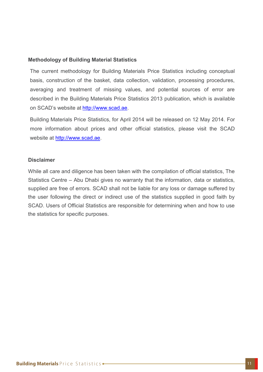# **Methodology of Building Material Statistics**

The current methodology for Building Materials Price Statistics including conceptual basis, construction of the basket, data collection, validation, processing procedures, averaging and treatment of missing values, and potential sources of error are described in the Building Materials Price Statistics 2013 publication, which is available on SCAD's website at http://www.scad.ae.

Building Materials Price Statistics, for April 2014 will be released on 12 May 2014. For more information about prices and other official statistics, please visit the SCAD website at http://www.scad.ae.

# **Disclaimer**

While all care and diligence has been taken with the compilation of official statistics, The Statistics Centre – Abu Dhabi gives no warranty that the information, data or statistics, supplied are free of errors. SCAD shall not be liable for any loss or damage suffered by the user following the direct or indirect use of the statistics supplied in good faith by SCAD. Users of Official Statistics are responsible for determining when and how to use the statistics for specific purposes.